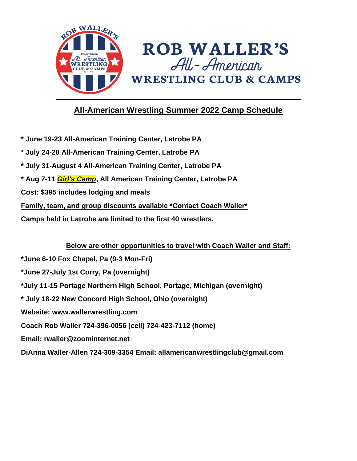

# **All-American Wrestling Summer 2022 Camp Schedule**

- **\* June 19-23 All-American Training Center, Latrobe PA**
- **\* July 24-28 All-American Training Center, Latrobe PA**
- **\* July 31-August 4 All-American Training Center, Latrobe PA**
- **\* Aug 7-11** *Girl's Camp***, All American Training Center, Latrobe PA**
- **Cost: \$395 includes lodging and meals**
- **Family, team, and group discounts available \*Contact Coach Waller\***
- **Camps held in Latrobe are limited to the first 40 wrestlers.**

## **Below are other opportunities to travel with Coach Waller and Staff:**

- **\*June 6-10 Fox Chapel, Pa (9-3 Mon-Fri)**
- **\*June 27-July 1st Corry, Pa (overnight)**
- **\*July 11-15 Portage Northern High School, Portage, Michigan (overnight)**
- **\* July 18-22 New Concord High School, Ohio (overnight)**
- **Website: www.wallerwrestling.com**
- **Coach Rob Waller 724-396-0056 (cell) 724-423-7112 (home)**
- **Email: rwaller@zoominternet.net**
- **DiAnna Waller-Allen 724-309-3354 Email: allamericanwrestlingclub@gmail.com**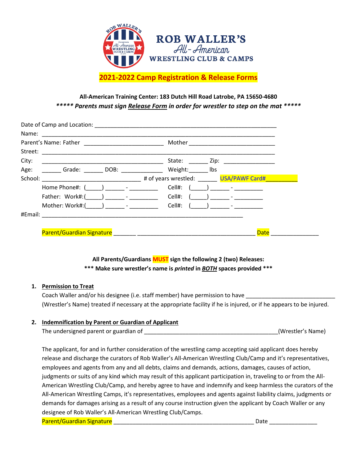

## **All-American Training Center: 183 Dutch Hill Road Latrobe, PA 15650-4680** *\*\*\*\*\* Parents must sign Release Form in order for wrestler to step on the mat \*\*\*\*\**

| City:   |                                                                                                                                                                                                                                                                                                                 | State: Zip: 210.                                                    |
|---------|-----------------------------------------------------------------------------------------------------------------------------------------------------------------------------------------------------------------------------------------------------------------------------------------------------------------|---------------------------------------------------------------------|
|         | Age: Grade: DOB: Weight:                                                                                                                                                                                                                                                                                        | Ibs                                                                 |
| School: |                                                                                                                                                                                                                                                                                                                 | <b>Example 2018</b> The state of years wrestled: The USA/PAWF Card# |
|         | Home Phone#: (<br>) and $\frac{1}{2}$ and $\frac{1}{2}$ and $\frac{1}{2}$ and $\frac{1}{2}$ and $\frac{1}{2}$ and $\frac{1}{2}$ and $\frac{1}{2}$ and $\frac{1}{2}$ and $\frac{1}{2}$ and $\frac{1}{2}$ and $\frac{1}{2}$ and $\frac{1}{2}$ and $\frac{1}{2}$ and $\frac{1}{2}$ and $\frac{1}{2}$ and $\frac{1$ | Cell#:                                                              |
|         | Father: Work#:( ) -                                                                                                                                                                                                                                                                                             | Cell#:                                                              |
|         | Mother: Work#:( ) - The set of the set of the set of the set of the set of the set of the set of the set of the set of the set of the set of the set of the set of the set of the set of the set of the set of the set of the                                                                                   | Cell#:                                                              |
|         |                                                                                                                                                                                                                                                                                                                 |                                                                     |

**All Parents/Guardians MUST sign the following 2 (two) Releases: \*\*\* Make sure wrestler's name is** *printed* **in** *BOTH* **spaces provided \*\*\***

### **1. Permission to Treat**

Coach Waller and/or his designee (i.e. staff member) have permission to have (Wrestler's Name) treated if necessary at the appropriate facility if he is injured, or if he appears to be injured.

### **2. Indemnification by Parent or Guardian of Applicant**

| The undersigned parent or guardian of | (Wrestler's Name) |
|---------------------------------------|-------------------|
|                                       |                   |

The applicant, for and in further consideration of the wrestling camp accepting said applicant does hereby release and discharge the curators of Rob Waller's All-American Wrestling Club/Camp and it's representatives, employees and agents from any and all debts, claims and demands, actions, damages, causes of action, judgments or suits of any kind which may result of this applicant participation in, traveling to or from the All-American Wrestling Club/Camp, and hereby agree to have and indemnify and keep harmless the curators of the All-American Wrestling Camps, it's representatives, employees and agents against liability claims, judgments or demands for damages arising as a result of any course instruction given the applicant by Coach Waller or any designee of Rob Waller's All-American Wrestling Club/Camps.

Parent/Guardian Signature \_\_\_\_\_\_\_\_\_\_\_\_\_\_\_\_\_\_\_\_\_\_\_\_\_\_\_\_\_\_\_\_\_\_\_\_\_\_\_\_\_\_\_\_ Date \_\_\_\_\_\_\_\_\_\_\_\_\_\_\_